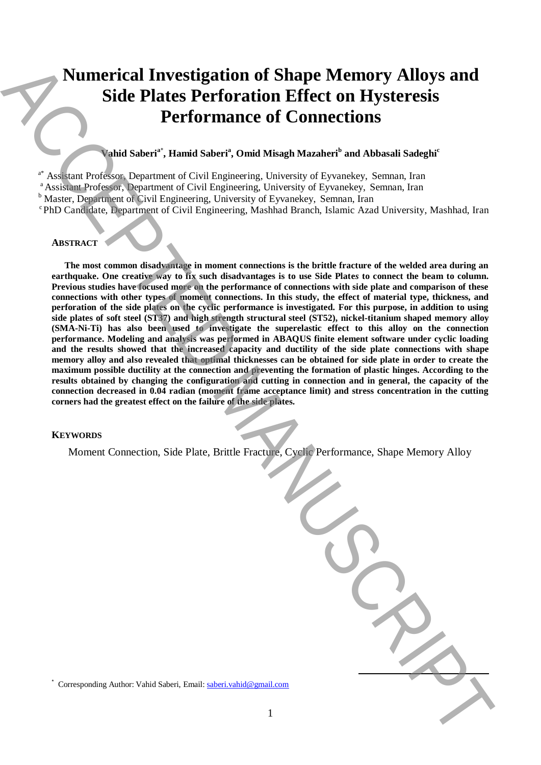# **Numerical Investigation of Shape Memory Alloys and Side Plates Perforation Effect on Hysteresis Performance of Connections**

## **Vahid Saberi<sup>a</sup>**\* **, Hamid Saberi<sup>a</sup> , Omid Misagh Mazaheri<sup>b</sup> and Abbasali Sadeghi<sup>c</sup>**

<sup>a\*</sup> Assistant Professor, Department of Civil Engineering, University of Eyvanekey, Semnan, Iran

<sup>a</sup> Assistant Professor, Department of Civil Engineering, University of Eyvanekey, Semnan, Iran

<sup>b</sup> Master, Department of Civil Engineering, University of Eyvanekey, Semnan, Iran

<sup>c</sup>PhD Candidate, Department of Civil Engineering, Mashhad Branch, Islamic Azad University, Mashhad, Iran

## **ABSTRACT**

**The most common disadvantage in moment connections is the brittle fracture of the welded area during an earthquake. One creative way to fix such disadvantages is to use Side Plate***s* **to connect the beam to column. Previous studies have focused more on the performance of connections with side plate and comparison of these connections with other types of moment connections. In this study, the effect of material type, thickness, and perforation of the side plates on the cyclic performance is investigated. For this purpose, in addition to using side plates of soft steel (ST37) and high strength structural steel (ST52), nickel-titanium shaped memory alloy (SMA-Ni-Ti) has also been used to investigate the superelastic effect to this alloy on the connection performance. Modeling and analysis was performed in ABAQUS finite element software under cyclic loading and the results showed that the increased capacity and ductility of the side plate connections with shape memory alloy and also revealed that optimal thicknesses can be obtained for side plate in order to create the maximum possible ductility at the connection and preventing the formation of plastic hinges. According to the results obtained by changing the configuration and cutting in connection and in general, the capacity of the connection decreased in 0.04 radian (moment frame acceptance limit) and stress concentration in the cutting corners had the greatest effect on the failure of the side plates. Numerical Investigation of Shape Memory Alloys and<br>
Side Plate Performance of Connection and Saberi, the corresponding Automatic Saberi and Memali Saberi<br>
"Analysis Saberi", Hamiltonian Columbus Companions, Gaussian Sabe** 

## **KEYWORDS**

Moment Connection, Side Plate, Brittle Fracture, Cyclic Performance, Shape Memory Alloy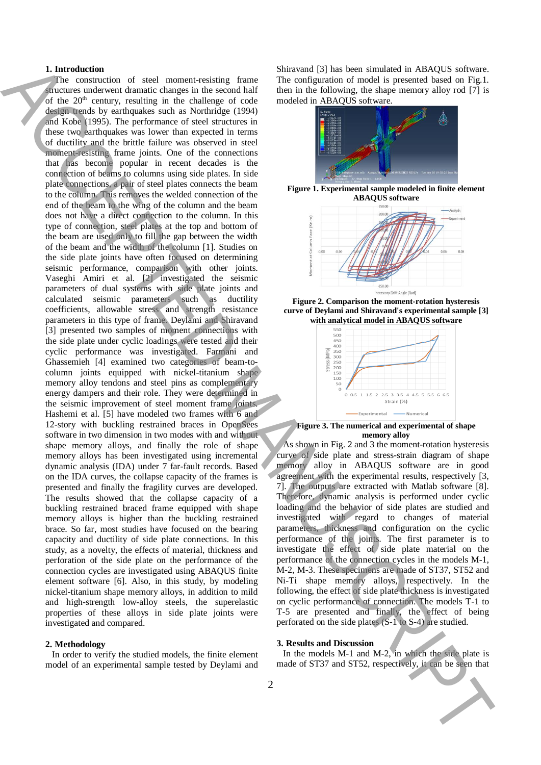#### **1. Introduction**

 The construction of steel moment-resisting frame structures underwent dramatic changes in the second half of the  $20<sup>th</sup>$  century, resulting in the challenge of code design trends by earthquakes such as Northridge (1994) and Kobe (1995). The performance of steel structures in these two earthquakes was lower than expected in terms of ductility and the brittle failure was observed in steel moment-resisting frame joints. One of the connections that has become popular in recent decades is the connection of beams to columns using side plates. In side plate connections, a pair of steel plates connects the beam to the column. This removes the welded connection of the end of the beam to the wing of the column and the beam does not have a direct connection to the column. In this type of connection, steel plates at the top and bottom of the beam are used only to fill the gap between the width of the beam and the width of the column [1]. Studies on the side plate joints have often focused on determining seismic performance, comparison with other joints. Vaseghi Amiri et al. [2] investigated the seismic parameters of dual systems with side plate joints and calculated seismic parameters such as ductility coefficients, allowable stress and strength resistance parameters in this type of frame. Deylami and Shiravand [3] presented two samples of moment connections with the side plate under cyclic loadings were tested and their cyclic performance was investigated. Farmani and Ghassemieh [4] examined two categories of beam-tocolumn joints equipped with nickel-titanium shape memory alloy tendons and steel pins as complementary energy dampers and their role. They were determined in the seismic improvement of steel moment frame joints. Hashemi et al. [5] have modeled two frames with 6 and 12-story with buckling restrained braces in OpenSees software in two dimension in two modes with and without shape memory alloys, and finally the role of shape memory alloys has been investigated using incremental dynamic analysis (IDA) under 7 far-fault records. Based on the IDA curves, the collapse capacity of the frames is presented and finally the fragility curves are developed. The results showed that the collapse capacity of a buckling restrained braced frame equipped with shape memory alloys is higher than the buckling restrained brace. So far, most studies have focused on the bearing capacity and ductility of side plate connections. In this study, as a novelty, the effects of material, thickness and perforation of the side plate on the performance of the connection cycles are investigated using ABAQUS finite element software [6]. Also, in this study, by modeling nickel-titanium shape memory alloys, in addition to mild and high-strength low-alloy steels, the superelastic properties of these alloys in side plate joints were investigated and compared. **Example 2.** The second of study and the second of STS2, respectively, it can be seen that ACCEPTE is a second of the second of the second of the second of the second of the second of the second of the second of the secon

#### **2. Methodology**

In order to verify the studied models, the finite element model of an experimental sample tested by Deylami and Shiravand [3] has been simulated in ABAQUS software. The configuration of model is presented based on Fig.1. then in the following, the shape memory alloy rod [7] is modeled in ABAQUS software.



**Figure 1. Experimental sample modeled in finite element ABAQUS software**



**Figure 2. Comparison the moment-rotation hysteresis curve of Deylami and Shiravand's experimental sample [3] with analytical model in ABAQUS software**



**Figure 3. The numerical and experimental of shape memory alloy**

As shown in Fig. 2 and 3 the moment-rotation hysteresis curve of side plate and stress-strain diagram of shape memory alloy in ABAQUS software are in good agreement with the experimental results, respectively [3, 7]. The outputs are extracted with Matlab software [8]. Therefore, dynamic analysis is performed under cyclic loading and the behavior of side plates are studied and investigated with regard to changes of material parameters, thickness and configuration on the cyclic performance of the joints. The first parameter is to investigate the effect of side plate material on the performance of the connection cycles in the models M-1, M-2, M-3. These specimens are made of ST37, ST52 and Ni-Ti shape memory alloys, respectively. In the following, the effect of side plate thickness is investigated on cyclic performance of connection. The models T-1 to T-5 are presented and finally, the effect of being perforated on the side plates (S-1 to S-4) are studied.

### **3. Results and Discussion**

In the models M-1 and M-2, in which the side plate is